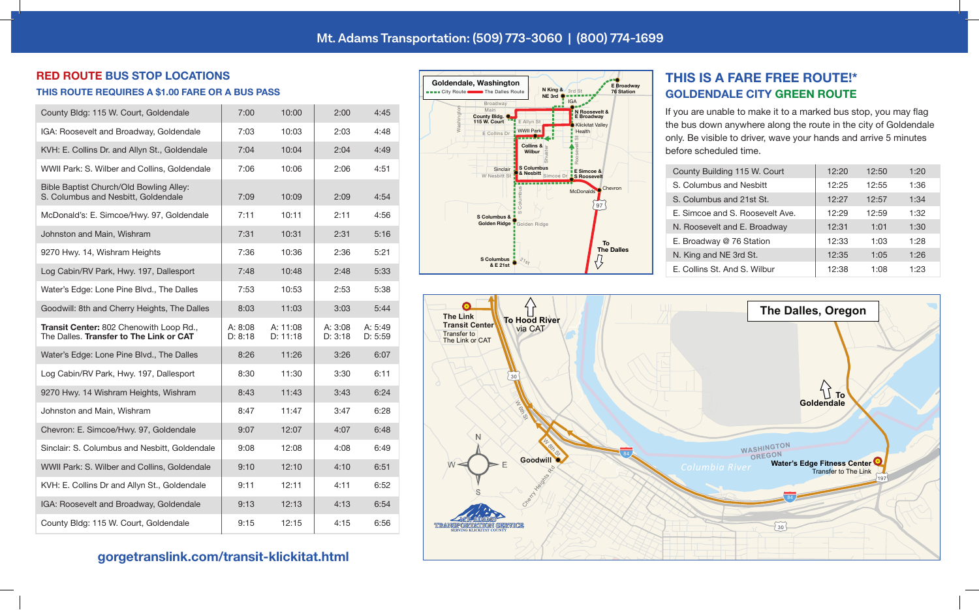#### **RED ROUTE BUS STOP LOCATIONS**

#### **THIS ROUTE REQUIRES A \$1.00 FARE OR A BUS PASS**

| County Bldg: 115 W. Court, Goldendale                                              | 7:00               | 10:00                | 2:00               | 4:45               |
|------------------------------------------------------------------------------------|--------------------|----------------------|--------------------|--------------------|
| IGA: Roosevelt and Broadway, Goldendale                                            | 7:03               | 10:03                | 2:03               | 4:48               |
| KVH: E. Collins Dr. and Allyn St., Goldendale                                      | 7:04               | 10:04                | 2:04               | 4:49               |
| WWII Park: S. Wilber and Collins, Goldendale                                       | 7:06               | 10:06                | 2:06               | 4:51               |
| Bible Baptist Church/Old Bowling Alley:<br>S. Columbus and Nesbitt, Goldendale     | 7:09               | 10:09                | 2:09               | 4:54               |
| McDonald's: E. Simcoe/Hwy. 97, Goldendale                                          | 7:11               | 10:11                | 2:11               | 4:56               |
| Johnston and Main, Wishram                                                         | 7:31               | 10:31                | 2:31               | 5:16               |
| 9270 Hwy. 14, Wishram Heights                                                      | 7:36               | 10:36                | 2:36               | 5:21               |
| Log Cabin/RV Park, Hwy. 197, Dallesport                                            | 7:48               | 10:48                | 2:48               | 5:33               |
| Water's Edge: Lone Pine Blvd., The Dalles                                          | 7:53               | 10:53                | 2:53               | 5:38               |
| Goodwill: 8th and Cherry Heights, The Dalles                                       | 8:03               | 11:03                | 3:03               | 5:44               |
| Transit Center: 802 Chenowith Loop Rd.,<br>The Dalles. Transfer to The Link or CAT | A: 8:08<br>D: 8:18 | A: 11:08<br>D: 11:18 | A: 3:08<br>D: 3:18 | A: 5:49<br>D: 5:59 |
| Water's Edge: Lone Pine Blvd., The Dalles                                          | 8:26               | 11:26                | 3:26               | 6:07               |
| Log Cabin/RV Park, Hwy. 197, Dallesport                                            | 8:30               | 11:30                | 3:30               | 6:11               |
| 9270 Hwy. 14 Wishram Heights, Wishram                                              | 8:43               | 11:43                | 3:43               | 6:24               |
| Johnston and Main, Wishram                                                         | 8:47               | 11:47                | 3:47               | 6:28               |
| Chevron: E. Simcoe/Hwy. 97, Goldendale                                             | 9:07               | 12:07                | 4:07               | 6:48               |
| Sinclair: S. Columbus and Nesbitt, Goldendale                                      | 9:08               | 12:08                | 4:08               | 6:49               |
| WWII Park: S. Wilber and Collins, Goldendale                                       | 9:10               | 12:10                | 4:10               | 6:51               |
| KVH: E. Collins Dr and Allyn St., Goldendale                                       | 9:11               | 12:11                | 4:11               | 6:52               |
| IGA: Roosevelt and Broadway, Goldendale                                            | 9:13               | 12:13                | 4:13               | 6:54               |
| County Bldg: 115 W. Court, Goldendale                                              | 9:15               | 12:15                | 4:15               | 6:56               |

# **gorgetranslink.com/transit-klickitat.html**



## **THIS IS A FARE FREE ROUTE!\* GOLDENDALE CITY GREEN ROUTE**

If you are unable to make it to a marked bus stop, you may flag the bus down anywhere along the route in the city of Goldendale only. Be visible to driver, wave your hands and arrive 5 minutes before scheduled time.

| County Building 115 W. Court    | 12:20 | 12:50 | 1:20 |
|---------------------------------|-------|-------|------|
| S. Columbus and Nesbitt         | 12:25 | 12:55 | 1:36 |
| S. Columbus and 21st St.        | 12:27 | 12:57 | 1:34 |
| E. Simcoe and S. Roosevelt Ave. | 12:29 | 12:59 | 1:32 |
| N. Roosevelt and E. Broadway    | 12:31 | 1:01  | 1:30 |
| E. Broadway @ 76 Station        | 12:33 | 1:03  | 1:28 |
| N. King and NE 3rd St.          | 12:35 | 1:05  | 1:26 |
| E. Collins St. And S. Wilbur    | 12:38 | 1:08  | 1:23 |